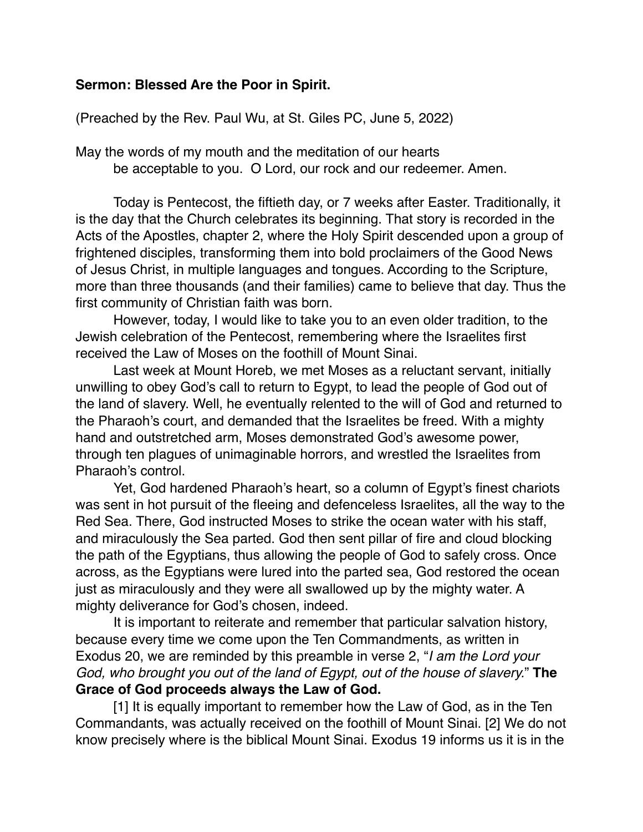## **Sermon: Blessed Are the Poor in Spirit.**

(Preached by the Rev. Paul Wu, at St. Giles PC, June 5, 2022)

May the words of my mouth and the meditation of our hearts be acceptable to you. O Lord, our rock and our redeemer. Amen.

Today is Pentecost, the fiftieth day, or 7 weeks after Easter. Traditionally, it is the day that the Church celebrates its beginning. That story is recorded in the Acts of the Apostles, chapter 2, where the Holy Spirit descended upon a group of frightened disciples, transforming them into bold proclaimers of the Good News of Jesus Christ, in multiple languages and tongues. According to the Scripture, more than three thousands (and their families) came to believe that day. Thus the first community of Christian faith was born.

However, today, I would like to take you to an even older tradition, to the Jewish celebration of the Pentecost, remembering where the Israelites first received the Law of Moses on the foothill of Mount Sinai.

Last week at Mount Horeb, we met Moses as a reluctant servant, initially unwilling to obey God's call to return to Egypt, to lead the people of God out of the land of slavery. Well, he eventually relented to the will of God and returned to the Pharaoh's court, and demanded that the Israelites be freed. With a mighty hand and outstretched arm, Moses demonstrated God's awesome power, through ten plagues of unimaginable horrors, and wrestled the Israelites from Pharaoh's control.

Yet, God hardened Pharaoh's heart, so a column of Egypt's finest chariots was sent in hot pursuit of the fleeing and defenceless Israelites, all the way to the Red Sea. There, God instructed Moses to strike the ocean water with his staff, and miraculously the Sea parted. God then sent pillar of fire and cloud blocking the path of the Egyptians, thus allowing the people of God to safely cross. Once across, as the Egyptians were lured into the parted sea, God restored the ocean just as miraculously and they were all swallowed up by the mighty water. A mighty deliverance for God's chosen, indeed.

It is important to reiterate and remember that particular salvation history, because every time we come upon the Ten Commandments, as written in Exodus 20, we are reminded by this preamble in verse 2, "*I am the Lord your God, who brought you out of the land of Egypt, out of the house of slavery.*" **The Grace of God proceeds always the Law of God.**

[1] It is equally important to remember how the Law of God, as in the Ten Commandants, was actually received on the foothill of Mount Sinai. [2] We do not know precisely where is the biblical Mount Sinai. Exodus 19 informs us it is in the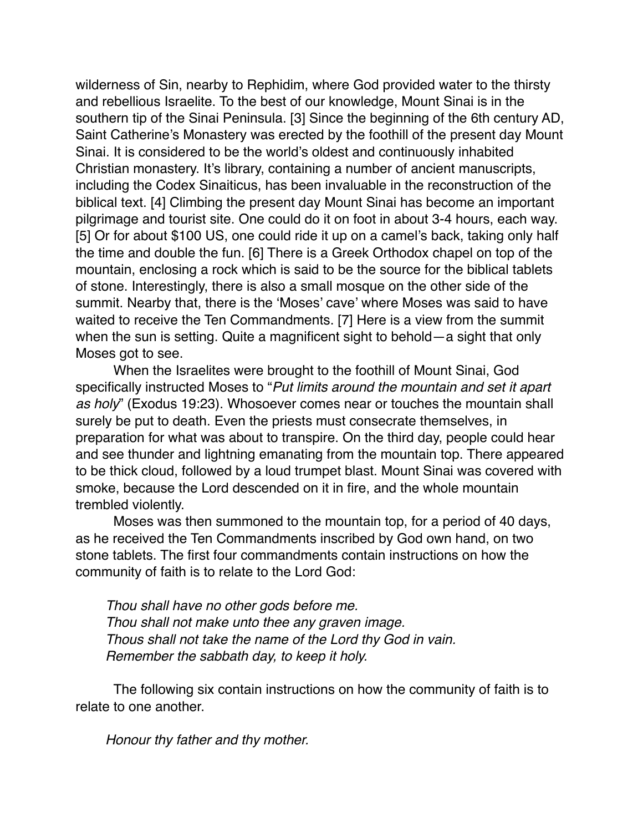wilderness of Sin, nearby to Rephidim, where God provided water to the thirsty and rebellious Israelite. To the best of our knowledge, Mount Sinai is in the southern tip of the Sinai Peninsula. [3] Since the beginning of the 6th century AD, Saint Catherine's Monastery was erected by the foothill of the present day Mount Sinai. It is considered to be the world's oldest and continuously inhabited Christian monastery. It's library, containing a number of ancient manuscripts, including the Codex Sinaiticus, has been invaluable in the reconstruction of the biblical text. [4] Climbing the present day Mount Sinai has become an important pilgrimage and tourist site. One could do it on foot in about 3-4 hours, each way. [5] Or for about \$100 US, one could ride it up on a camel's back, taking only half the time and double the fun. [6] There is a Greek Orthodox chapel on top of the mountain, enclosing a rock which is said to be the source for the biblical tablets of stone. Interestingly, there is also a small mosque on the other side of the summit. Nearby that, there is the 'Moses' cave' where Moses was said to have waited to receive the Ten Commandments. [7] Here is a view from the summit when the sun is setting. Quite a magnificent sight to behold—a sight that only Moses got to see.

When the Israelites were brought to the foothill of Mount Sinai, God specifically instructed Moses to "*Put limits around the mountain and set it apart as holy*" (Exodus 19:23). Whosoever comes near or touches the mountain shall surely be put to death. Even the priests must consecrate themselves, in preparation for what was about to transpire. On the third day, people could hear and see thunder and lightning emanating from the mountain top. There appeared to be thick cloud, followed by a loud trumpet blast. Mount Sinai was covered with smoke, because the Lord descended on it in fire, and the whole mountain trembled violently.

Moses was then summoned to the mountain top, for a period of 40 days, as he received the Ten Commandments inscribed by God own hand, on two stone tablets. The first four commandments contain instructions on how the community of faith is to relate to the Lord God:

*Thou shall have no other gods before me. Thou shall not make unto thee any graven image. Thous shall not take the name of the Lord thy God in vain. Remember the sabbath day, to keep it holy.*

The following six contain instructions on how the community of faith is to relate to one another.

*Honour thy father and thy mother.*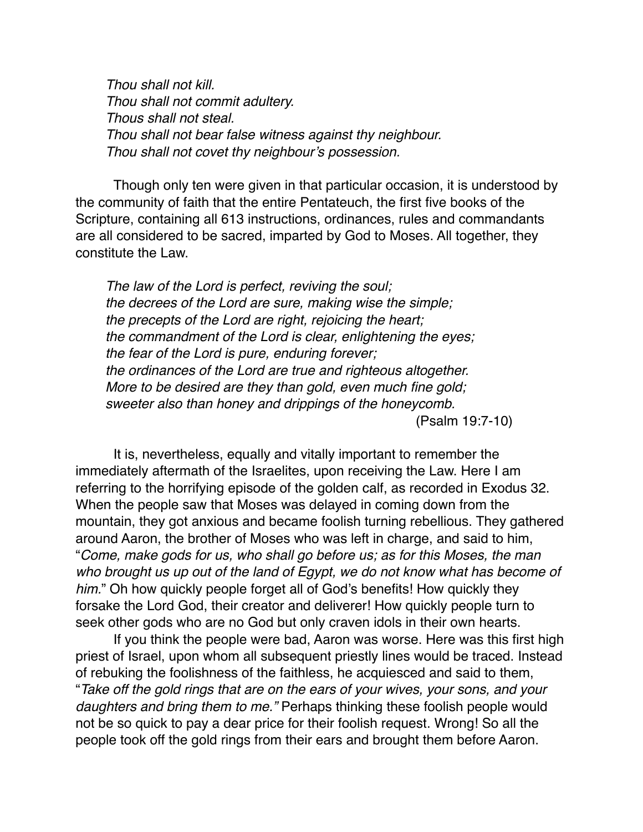*Thou shall not kill. Thou shall not commit adultery. Thous shall not steal. Thou shall not bear false witness against thy neighbour. Thou shall not covet thy neighbour's possession.*

Though only ten were given in that particular occasion, it is understood by the community of faith that the entire Pentateuch, the first five books of the Scripture, containing all 613 instructions, ordinances, rules and commandants are all considered to be sacred, imparted by God to Moses. All together, they constitute the Law.

*The law of the Lord is perfect, reviving the soul; the decrees of the Lord are sure, making wise the simple; the precepts of the Lord are right, rejoicing the heart; the commandment of the Lord is clear, enlightening the eyes; the fear of the Lord is pure, enduring forever; the ordinances of the Lord are true and righteous altogether. More to be desired are they than gold, even much fine gold; sweeter also than honey and drippings of the honeycomb.*  (Psalm 19:7-10)

It is, nevertheless, equally and vitally important to remember the immediately aftermath of the Israelites, upon receiving the Law. Here I am referring to the horrifying episode of the golden calf, as recorded in Exodus 32. When the people saw that Moses was delayed in coming down from the mountain, they got anxious and became foolish turning rebellious. They gathered around Aaron, the brother of Moses who was left in charge, and said to him, "*Come, make gods for us, who shall go before us; as for this Moses, the man who brought us up out of the land of Egypt, we do not know what has become of him.*" Oh how quickly people forget all of God's benefits! How quickly they forsake the Lord God, their creator and deliverer! How quickly people turn to seek other gods who are no God but only craven idols in their own hearts.

If you think the people were bad, Aaron was worse. Here was this first high priest of Israel, upon whom all subsequent priestly lines would be traced. Instead of rebuking the foolishness of the faithless, he acquiesced and said to them, "*Take off the gold rings that are on the ears of your wives, your sons, and your daughters and bring them to me."* Perhaps thinking these foolish people would not be so quick to pay a dear price for their foolish request. Wrong! So all the people took off the gold rings from their ears and brought them before Aaron.